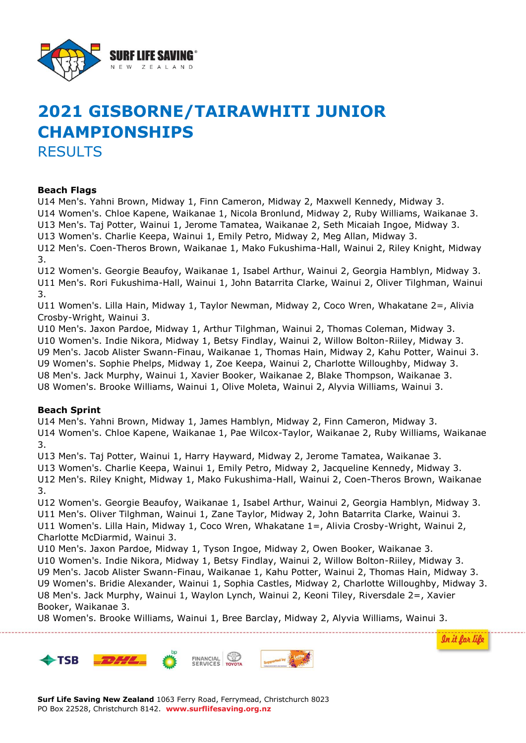

# **2021 GISBORNE/TAIRAWHITI JUNIOR CHAMPIONSHIPS** RESULTS

#### **Beach Flags**

U14 Men's. Yahni Brown, Midway 1, Finn Cameron, Midway 2, Maxwell Kennedy, Midway 3. U14 Women's. Chloe Kapene, Waikanae 1, Nicola Bronlund, Midway 2, Ruby Williams, Waikanae 3. U13 Men's. Taj Potter, Wainui 1, Jerome Tamatea, Waikanae 2, Seth Micaiah Ingoe, Midway 3. U13 Women's. Charlie Keepa, Wainui 1, Emily Petro, Midway 2, Meg Allan, Midway 3.

U12 Men's. Coen-Theros Brown, Waikanae 1, Mako Fukushima-Hall, Wainui 2, Riley Knight, Midway 3.

U12 Women's. Georgie Beaufoy, Waikanae 1, Isabel Arthur, Wainui 2, Georgia Hamblyn, Midway 3. U11 Men's. Rori Fukushima-Hall, Wainui 1, John Batarrita Clarke, Wainui 2, Oliver Tilghman, Wainui 3.

U11 Women's. Lilla Hain, Midway 1, Taylor Newman, Midway 2, Coco Wren, Whakatane 2=, Alivia Crosby-Wright, Wainui 3.

U10 Men's. Jaxon Pardoe, Midway 1, Arthur Tilghman, Wainui 2, Thomas Coleman, Midway 3. U10 Women's. Indie Nikora, Midway 1, Betsy Findlay, Wainui 2, Willow Bolton-Riiley, Midway 3. U9 Men's. Jacob Alister Swann-Finau, Waikanae 1, Thomas Hain, Midway 2, Kahu Potter, Wainui 3. U9 Women's. Sophie Phelps, Midway 1, Zoe Keepa, Wainui 2, Charlotte Willoughby, Midway 3. U8 Men's. Jack Murphy, Wainui 1, Xavier Booker, Waikanae 2, Blake Thompson, Waikanae 3. U8 Women's. Brooke Williams, Wainui 1, Olive Moleta, Wainui 2, Alyvia Williams, Wainui 3.

#### **Beach Sprint**

U14 Men's. Yahni Brown, Midway 1, James Hamblyn, Midway 2, Finn Cameron, Midway 3. U14 Women's. Chloe Kapene, Waikanae 1, Pae Wilcox-Taylor, Waikanae 2, Ruby Williams, Waikanae 3.

U13 Men's. Taj Potter, Wainui 1, Harry Hayward, Midway 2, Jerome Tamatea, Waikanae 3.

U13 Women's. Charlie Keepa, Wainui 1, Emily Petro, Midway 2, Jacqueline Kennedy, Midway 3.

U12 Men's. Riley Knight, Midway 1, Mako Fukushima-Hall, Wainui 2, Coen-Theros Brown, Waikanae 3.

U12 Women's. Georgie Beaufoy, Waikanae 1, Isabel Arthur, Wainui 2, Georgia Hamblyn, Midway 3. U11 Men's. Oliver Tilghman, Wainui 1, Zane Taylor, Midway 2, John Batarrita Clarke, Wainui 3. U11 Women's. Lilla Hain, Midway 1, Coco Wren, Whakatane 1=, Alivia Crosby-Wright, Wainui 2,

Charlotte McDiarmid, Wainui 3.

U10 Men's. Jaxon Pardoe, Midway 1, Tyson Ingoe, Midway 2, Owen Booker, Waikanae 3. U10 Women's. Indie Nikora, Midway 1, Betsy Findlay, Wainui 2, Willow Bolton-Riiley, Midway 3. U9 Men's. Jacob Alister Swann-Finau, Waikanae 1, Kahu Potter, Wainui 2, Thomas Hain, Midway 3. U9 Women's. Bridie Alexander, Wainui 1, Sophia Castles, Midway 2, Charlotte Willoughby, Midway 3. U8 Men's. Jack Murphy, Wainui 1, Waylon Lynch, Wainui 2, Keoni Tiley, Riversdale 2=, Xavier Booker, Waikanae 3.

In it for life

U8 Women's. Brooke Williams, Wainui 1, Bree Barclay, Midway 2, Alyvia Williams, Wainui 3.

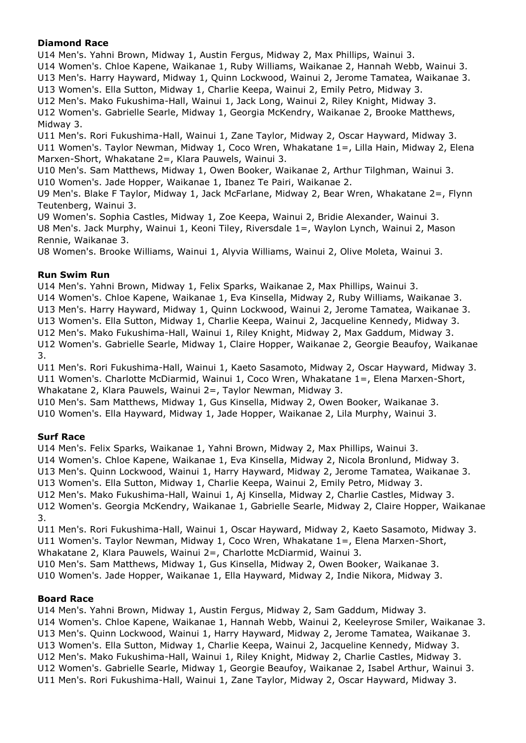## **Diamond Race**

U14 Men's. Yahni Brown, Midway 1, Austin Fergus, Midway 2, Max Phillips, Wainui 3.

U14 Women's. Chloe Kapene, Waikanae 1, Ruby Williams, Waikanae 2, Hannah Webb, Wainui 3. U13 Men's. Harry Hayward, Midway 1, Quinn Lockwood, Wainui 2, Jerome Tamatea, Waikanae 3.

U13 Women's. Ella Sutton, Midway 1, Charlie Keepa, Wainui 2, Emily Petro, Midway 3.

U12 Men's. Mako Fukushima-Hall, Wainui 1, Jack Long, Wainui 2, Riley Knight, Midway 3. U12 Women's. Gabrielle Searle, Midway 1, Georgia McKendry, Waikanae 2, Brooke Matthews, Midway 3.

U11 Men's. Rori Fukushima-Hall, Wainui 1, Zane Taylor, Midway 2, Oscar Hayward, Midway 3. U11 Women's. Taylor Newman, Midway 1, Coco Wren, Whakatane 1=, Lilla Hain, Midway 2, Elena Marxen-Short, Whakatane 2=, Klara Pauwels, Wainui 3.

U10 Men's. Sam Matthews, Midway 1, Owen Booker, Waikanae 2, Arthur Tilghman, Wainui 3. U10 Women's. Jade Hopper, Waikanae 1, Ibanez Te Pairi, Waikanae 2.

U9 Men's. Blake F Taylor, Midway 1, Jack McFarlane, Midway 2, Bear Wren, Whakatane 2=, Flynn Teutenberg, Wainui 3.

U9 Women's. Sophia Castles, Midway 1, Zoe Keepa, Wainui 2, Bridie Alexander, Wainui 3. U8 Men's. Jack Murphy, Wainui 1, Keoni Tiley, Riversdale 1=, Waylon Lynch, Wainui 2, Mason Rennie, Waikanae 3.

U8 Women's. Brooke Williams, Wainui 1, Alyvia Williams, Wainui 2, Olive Moleta, Wainui 3.

## **Run Swim Run**

U14 Men's. Yahni Brown, Midway 1, Felix Sparks, Waikanae 2, Max Phillips, Wainui 3.

U14 Women's. Chloe Kapene, Waikanae 1, Eva Kinsella, Midway 2, Ruby Williams, Waikanae 3.

U13 Men's. Harry Hayward, Midway 1, Quinn Lockwood, Wainui 2, Jerome Tamatea, Waikanae 3.

U13 Women's. Ella Sutton, Midway 1, Charlie Keepa, Wainui 2, Jacqueline Kennedy, Midway 3.

U12 Men's. Mako Fukushima-Hall, Wainui 1, Riley Knight, Midway 2, Max Gaddum, Midway 3.

U12 Women's. Gabrielle Searle, Midway 1, Claire Hopper, Waikanae 2, Georgie Beaufoy, Waikanae 3.

U11 Men's. Rori Fukushima-Hall, Wainui 1, Kaeto Sasamoto, Midway 2, Oscar Hayward, Midway 3. U11 Women's. Charlotte McDiarmid, Wainui 1, Coco Wren, Whakatane 1=, Elena Marxen-Short, Whakatane 2, Klara Pauwels, Wainui 2=, Taylor Newman, Midway 3.

U10 Men's. Sam Matthews, Midway 1, Gus Kinsella, Midway 2, Owen Booker, Waikanae 3. U10 Women's. Ella Hayward, Midway 1, Jade Hopper, Waikanae 2, Lila Murphy, Wainui 3.

#### **Surf Race**

U14 Men's. Felix Sparks, Waikanae 1, Yahni Brown, Midway 2, Max Phillips, Wainui 3.

U14 Women's. Chloe Kapene, Waikanae 1, Eva Kinsella, Midway 2, Nicola Bronlund, Midway 3.

U13 Men's. Quinn Lockwood, Wainui 1, Harry Hayward, Midway 2, Jerome Tamatea, Waikanae 3.

U13 Women's. Ella Sutton, Midway 1, Charlie Keepa, Wainui 2, Emily Petro, Midway 3.

U12 Men's. Mako Fukushima-Hall, Wainui 1, Aj Kinsella, Midway 2, Charlie Castles, Midway 3.

U12 Women's. Georgia McKendry, Waikanae 1, Gabrielle Searle, Midway 2, Claire Hopper, Waikanae 3.

U11 Men's. Rori Fukushima-Hall, Wainui 1, Oscar Hayward, Midway 2, Kaeto Sasamoto, Midway 3. U11 Women's. Taylor Newman, Midway 1, Coco Wren, Whakatane 1=, Elena Marxen-Short, Whakatane 2, Klara Pauwels, Wainui 2=, Charlotte McDiarmid, Wainui 3.

U10 Men's. Sam Matthews, Midway 1, Gus Kinsella, Midway 2, Owen Booker, Waikanae 3.

U10 Women's. Jade Hopper, Waikanae 1, Ella Hayward, Midway 2, Indie Nikora, Midway 3.

#### **Board Race**

U14 Men's. Yahni Brown, Midway 1, Austin Fergus, Midway 2, Sam Gaddum, Midway 3.

U14 Women's. Chloe Kapene, Waikanae 1, Hannah Webb, Wainui 2, Keeleyrose Smiler, Waikanae 3.

U13 Men's. Quinn Lockwood, Wainui 1, Harry Hayward, Midway 2, Jerome Tamatea, Waikanae 3.

U13 Women's. Ella Sutton, Midway 1, Charlie Keepa, Wainui 2, Jacqueline Kennedy, Midway 3.

U12 Men's. Mako Fukushima-Hall, Wainui 1, Riley Knight, Midway 2, Charlie Castles, Midway 3.

U12 Women's. Gabrielle Searle, Midway 1, Georgie Beaufoy, Waikanae 2, Isabel Arthur, Wainui 3.

U11 Men's. Rori Fukushima-Hall, Wainui 1, Zane Taylor, Midway 2, Oscar Hayward, Midway 3.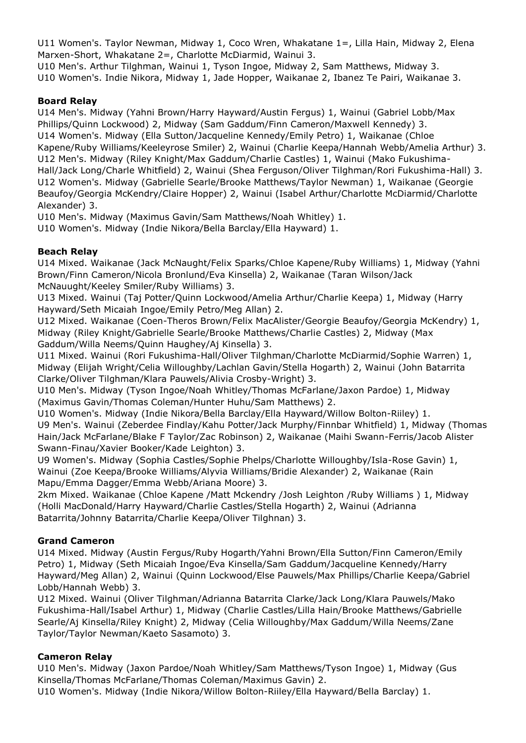U11 Women's. Taylor Newman, Midway 1, Coco Wren, Whakatane 1=, Lilla Hain, Midway 2, Elena Marxen-Short, Whakatane 2=, Charlotte McDiarmid, Wainui 3.

U10 Men's. Arthur Tilghman, Wainui 1, Tyson Ingoe, Midway 2, Sam Matthews, Midway 3. U10 Women's. Indie Nikora, Midway 1, Jade Hopper, Waikanae 2, Ibanez Te Pairi, Waikanae 3.

# **Board Relay**

U14 Men's. Midway (Yahni Brown/Harry Hayward/Austin Fergus) 1, Wainui (Gabriel Lobb/Max Phillips/Quinn Lockwood) 2, Midway (Sam Gaddum/Finn Cameron/Maxwell Kennedy) 3. U14 Women's. Midway (Ella Sutton/Jacqueline Kennedy/Emily Petro) 1, Waikanae (Chloe Kapene/Ruby Williams/Keeleyrose Smiler) 2, Wainui (Charlie Keepa/Hannah Webb/Amelia Arthur) 3. U12 Men's. Midway (Riley Knight/Max Gaddum/Charlie Castles) 1, Wainui (Mako Fukushima-Hall/Jack Long/Charle Whitfield) 2, Wainui (Shea Ferguson/Oliver Tilghman/Rori Fukushima-Hall) 3. U12 Women's. Midway (Gabrielle Searle/Brooke Matthews/Taylor Newman) 1, Waikanae (Georgie Beaufoy/Georgia McKendry/Claire Hopper) 2, Wainui (Isabel Arthur/Charlotte McDiarmid/Charlotte Alexander) 3.

U10 Men's. Midway (Maximus Gavin/Sam Matthews/Noah Whitley) 1.

U10 Women's. Midway (Indie Nikora/Bella Barclay/Ella Hayward) 1.

## **Beach Relay**

U14 Mixed. Waikanae (Jack McNaught/Felix Sparks/Chloe Kapene/Ruby Williams) 1, Midway (Yahni Brown/Finn Cameron/Nicola Bronlund/Eva Kinsella) 2, Waikanae (Taran Wilson/Jack McNauught/Keeley Smiler/Ruby Williams) 3.

U13 Mixed. Wainui (Taj Potter/Quinn Lockwood/Amelia Arthur/Charlie Keepa) 1, Midway (Harry Hayward/Seth Micaiah Ingoe/Emily Petro/Meg Allan) 2.

U12 Mixed. Waikanae (Coen-Theros Brown/Felix MacAlister/Georgie Beaufoy/Georgia McKendry) 1, Midway (Riley Knight/Gabrielle Searle/Brooke Matthews/Charlie Castles) 2, Midway (Max Gaddum/Willa Neems/Quinn Haughey/Aj Kinsella) 3.

U11 Mixed. Wainui (Rori Fukushima-Hall/Oliver Tilghman/Charlotte McDiarmid/Sophie Warren) 1, Midway (Elijah Wright/Celia Willoughby/Lachlan Gavin/Stella Hogarth) 2, Wainui (John Batarrita Clarke/Oliver Tilghman/Klara Pauwels/Alivia Crosby-Wright) 3.

U10 Men's. Midway (Tyson Ingoe/Noah Whitley/Thomas McFarlane/Jaxon Pardoe) 1, Midway (Maximus Gavin/Thomas Coleman/Hunter Huhu/Sam Matthews) 2.

U10 Women's. Midway (Indie Nikora/Bella Barclay/Ella Hayward/Willow Bolton-Riiley) 1. U9 Men's. Wainui (Zeberdee Findlay/Kahu Potter/Jack Murphy/Finnbar Whitfield) 1, Midway (Thomas Hain/Jack McFarlane/Blake F Taylor/Zac Robinson) 2, Waikanae (Maihi Swann-Ferris/Jacob Alister Swann-Finau/Xavier Booker/Kade Leighton) 3.

U9 Women's. Midway (Sophia Castles/Sophie Phelps/Charlotte Willoughby/Isla-Rose Gavin) 1, Wainui (Zoe Keepa/Brooke Williams/Alyvia Williams/Bridie Alexander) 2, Waikanae (Rain Mapu/Emma Dagger/Emma Webb/Ariana Moore) 3.

2km Mixed. Waikanae (Chloe Kapene /Matt Mckendry /Josh Leighton /Ruby Williams ) 1, Midway (Holli MacDonald/Harry Hayward/Charlie Castles/Stella Hogarth) 2, Wainui (Adrianna Batarrita/Johnny Batarrita/Charlie Keepa/Oliver Tilghnan) 3.

# **Grand Cameron**

U14 Mixed. Midway (Austin Fergus/Ruby Hogarth/Yahni Brown/Ella Sutton/Finn Cameron/Emily Petro) 1, Midway (Seth Micaiah Ingoe/Eva Kinsella/Sam Gaddum/Jacqueline Kennedy/Harry Hayward/Meg Allan) 2, Wainui (Quinn Lockwood/Else Pauwels/Max Phillips/Charlie Keepa/Gabriel Lobb/Hannah Webb) 3.

U12 Mixed. Wainui (Oliver Tilghman/Adrianna Batarrita Clarke/Jack Long/Klara Pauwels/Mako Fukushima-Hall/Isabel Arthur) 1, Midway (Charlie Castles/Lilla Hain/Brooke Matthews/Gabrielle Searle/Aj Kinsella/Riley Knight) 2, Midway (Celia Willoughby/Max Gaddum/Willa Neems/Zane Taylor/Taylor Newman/Kaeto Sasamoto) 3.

#### **Cameron Relay**

U10 Men's. Midway (Jaxon Pardoe/Noah Whitley/Sam Matthews/Tyson Ingoe) 1, Midway (Gus Kinsella/Thomas McFarlane/Thomas Coleman/Maximus Gavin) 2.

U10 Women's. Midway (Indie Nikora/Willow Bolton-Riiley/Ella Hayward/Bella Barclay) 1.